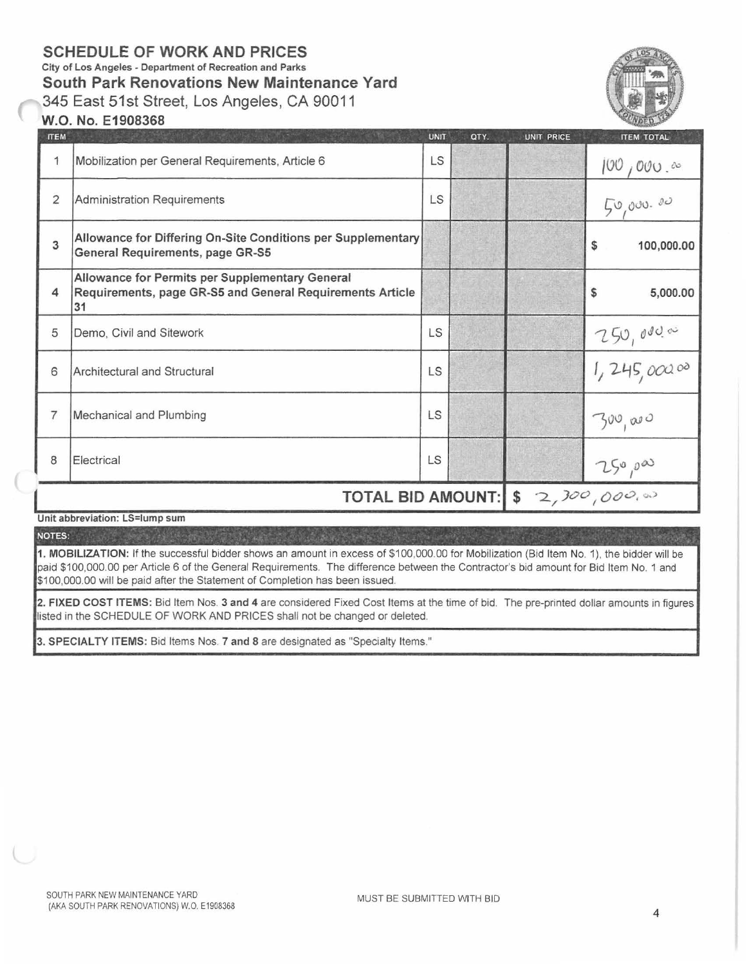## **SCHEDULE OF WORK AND PRICES**

City of Los Angeles - Department of Recreation and Parks

**South Park Renovations New Maintenance Yard** 

345 East 51st Street, Los Angeles, CA 90011



## **W.O. No. E1908368**

| <b>ITEM</b>    |                                                                                                                    | <b>UNIT</b>    | QTY. | <b>UNIT PRICE</b> | <b>ITEM TOTAL</b>   |
|----------------|--------------------------------------------------------------------------------------------------------------------|----------------|------|-------------------|---------------------|
| 1              | Mobilization per General Requirements, Article 6                                                                   | LS             |      |                   | $100,000.$ $\infty$ |
| $\overline{2}$ | Administration Requirements                                                                                        | LS             |      |                   | 50,000.00           |
| 3              | Allowance for Differing On-Site Conditions per Supplementary<br>General Requirements, page GR-S5                   |                |      |                   | \$<br>100,000.00    |
| 4              | Allowance for Permits per Supplementary General<br>Requirements, page GR-S5 and General Requirements Article<br>31 |                |      |                   | 5,000.00<br>\$      |
| 5              | Demo, Civil and Sitework                                                                                           | LS             |      |                   |                     |
| 6              | Architectural and Structural                                                                                       | LS             |      |                   | 750,0000            |
| 7              | Mechanical and Plumbing                                                                                            | <b>LS</b>      |      |                   | 300,000             |
| 8              | Electrical                                                                                                         | <b>LS</b>      |      |                   | 250,000             |
|                | <b>TOTAL BID AMOUNT:</b>                                                                                           | \$2,300,000,00 |      |                   |                     |

Unit abbreviation: LS=lump sum

NOTES:

1. MOBILIZATION: If the successful bidder shows an amount in excess of \$100,000.00 for Mobilization (Bid Item No. 1), the bidder will be paid \$100,000.00 per Article 6 of the General Requirements. The difference between the Contractor's bid amount for Bid Item No. 1 and \$100,000.00 will be paid after the Statement of Completion has been issued.

2. FIXED COST ITEMS: Bid Item Nos. 3 and 4 are considered Fixed Cost Items at the time of bid. The pre-printed dollar amounts in figures listed in the SCHEDULE OF WORK AND PRICES shall not be changed or deleted.

3. SPECIALTY ITEMS: Bid Items Nos. 7 and 8 are designated as "Specialty Items."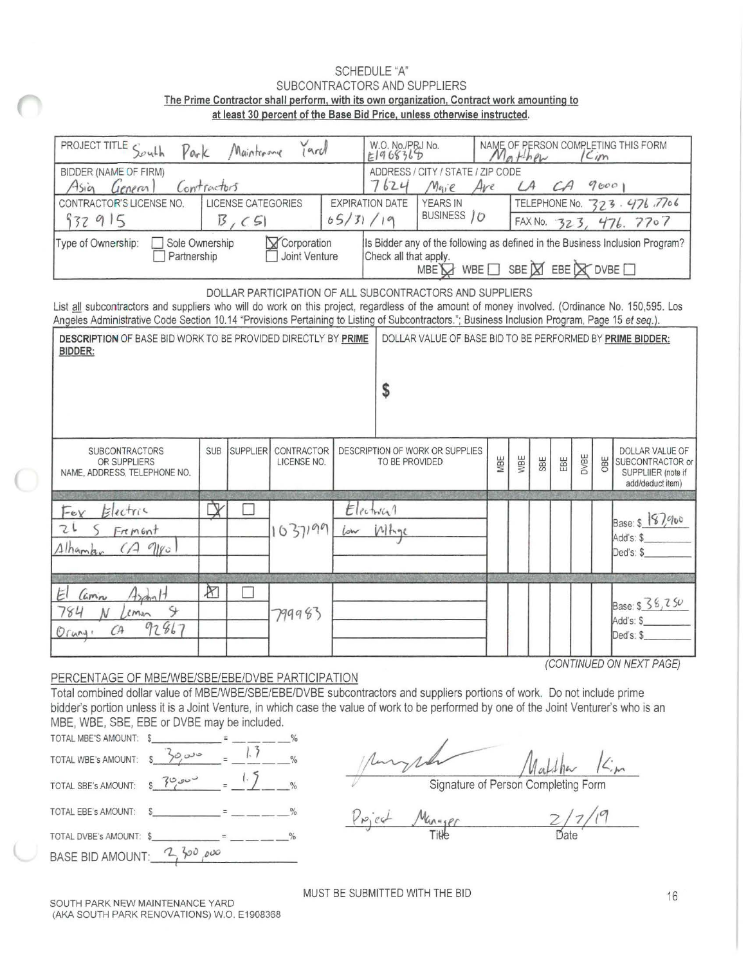## SCHEDULE "A" SUBCONTRACTORS AND SUPPLIERS The Prime Contractor shall perform, with its own organization, Contract work amounting to at least 30 percent of the Base Bid Price, unless otherwise instructed.

| PROJECT TITLE<br>South<br>$P$ ark                                                                                                                                                                                                                                                                                                                             |                                                                                                                            | Mainterang      | Jard                      |     | W.O. No./PRJ No.<br>E1968368 |                                                                             |     | $M_{\odot}$ then                                       |     |     |      | Cim | NAME OF PERSON COMPLETING THIS FORM                                                  |  |
|---------------------------------------------------------------------------------------------------------------------------------------------------------------------------------------------------------------------------------------------------------------------------------------------------------------------------------------------------------------|----------------------------------------------------------------------------------------------------------------------------|-----------------|---------------------------|-----|------------------------------|-----------------------------------------------------------------------------|-----|--------------------------------------------------------|-----|-----|------|-----|--------------------------------------------------------------------------------------|--|
| BIDDER (NAME OF FIRM)<br>Contractors<br>Asia<br>General                                                                                                                                                                                                                                                                                                       |                                                                                                                            |                 |                           |     |                              | ADDRESS / CITY / STATE / ZIP CODE<br>7624<br>9000<br>A<br>Maie<br>Ave<br>CA |     |                                                        |     |     |      |     |                                                                                      |  |
| LICENSE CATEGORIES<br>CONTRACTOR'S LICENSE NO.<br><b>EXPIRATION DATE</b><br>932915<br>65/31/19<br>B, C51                                                                                                                                                                                                                                                      |                                                                                                                            |                 |                           |     |                              | <b>YEARS IN</b><br>BUSINESS / O                                             |     | TELEPHONE No. 323.476.7706<br>FAX No. $323, 476, 7707$ |     |     |      |     |                                                                                      |  |
| Corporation<br>Is Bidder any of the following as defined in the Business Inclusion Program?<br>Type of Ownership:<br>Sole Ownership<br>Joint Venture<br>Check all that apply.<br>Partnership<br>MBE $\bigcirc$ WBE $\Box$ SBE $\boxtimes$ EBE $\boxtimes$ DVBE $\Box$                                                                                         |                                                                                                                            |                 |                           |     |                              |                                                                             |     |                                                        |     |     |      |     |                                                                                      |  |
| DOLLAR PARTICIPATION OF ALL SUBCONTRACTORS AND SUPPLIERS<br>List all subcontractors and suppliers who will do work on this project, regardless of the amount of money involved. (Ordinance No. 150,595. Los<br>Angeles Administrative Code Section 10.14 "Provisions Pertaining to Listing of Subcontractors."; Business Inclusion Program, Page 15 et seq.). |                                                                                                                            |                 |                           |     |                              |                                                                             |     |                                                        |     |     |      |     |                                                                                      |  |
| <b>BIDDER:</b>                                                                                                                                                                                                                                                                                                                                                | DESCRIPTION OF BASE BID WORK TO BE PROVIDED DIRECTLY BY PRIME<br>DOLLAR VALUE OF BASE BID TO BE PERFORMED BY PRIME BIDDER: |                 |                           |     |                              |                                                                             |     |                                                        |     |     |      |     |                                                                                      |  |
|                                                                                                                                                                                                                                                                                                                                                               |                                                                                                                            |                 |                           |     | \$                           |                                                                             |     |                                                        |     |     |      |     |                                                                                      |  |
| <b>SUBCONTRACTORS</b><br>OR SUPPLIERS<br>NAME, ADDRESS, TELEPHONE NO.                                                                                                                                                                                                                                                                                         | <b>SUB</b>                                                                                                                 | <b>SUPPLIER</b> | CONTRACTOR<br>LICENSE NO. |     | TO BE PROVIDED               | DESCRIPTION OF WORK OR SUPPLIES                                             | MBE | WBE                                                    | SBE | EBE | DVBE | OBE | <b>DOLLAR VALUE OF</b><br>SUBCONTRACTOR or<br>SUPPLIIER (note if<br>add/deduct item) |  |
| Electric<br>$F_{eY}$<br>てし<br>$F$ rement<br>Alhamb<br>9100<br>$\varDelta$                                                                                                                                                                                                                                                                                     | ₿                                                                                                                          |                 | 1037199                   | low | Electrical<br>Whae           |                                                                             |     |                                                        |     |     |      |     | Base: \$187,900<br>Add's: \$<br>Ded's: \$                                            |  |
| 12<br>E<br>Camin<br>Y.<br>784<br>emen<br>92867<br>$C^{\mathsf{A}}$<br>Orung:                                                                                                                                                                                                                                                                                  | X                                                                                                                          |                 | 799983                    |     |                              |                                                                             |     |                                                        |     |     |      |     | Base: $$36,750$<br>Add's: \$<br>Ded's: \$<br>(CONTINUED ON NEXT PAGE)                |  |

PERCENTAGE OF MBE/WBE/SBE/EBE/DVBE PARTICIPATION

Total combined dollar value of MBE/WBE/SBE/EBE/DVBE subcontractors and suppliers portions of work. Do not include prime bidder's portion unless it is a Joint Venture, in which case the value of work to be performed by one of the Joint Venturer's who is an tractors and suppliers portions of work. Do not include<br>
e of work to be performed by one of the Joint Venturer<br> *J*<br> *J*<br> *J<br>
Signature of Person Completing Form* 

MBE, WBE, SBE, EBE or DVBE may be included.<br>
TOTAL MBE'S AMOUNT:  $\frac{2}{3}$ TOTA L WBE 's AMOUNT : TOTAL MBE' S AMOUNT : \$  $30$   $0^\circ$ ---  $\sqrt{8}$ % *=* <u>1.5</u> % TOTAL SBE's AMOUNT \$ r<:>.; ........ *v* Signature of Person Completing Form TOTAL EBE's AMOUNT:  $s_1 + s_2 + s_3 = -1 - -8$ <br>TOTAL DVBE's AMOUNT:  $s_2 = -1 - 8$ <br>TOTAL DVBE's AMOUNT:  $s_3 = -1 - 8$ <br>Title Date BASE BID AMOUNT:  $\frac{2}{3}$  to  $\frac{1}{6}$ 

(

 $K_{\cdot m}$ 

MUST BE SUBMITTED WITH THE BID